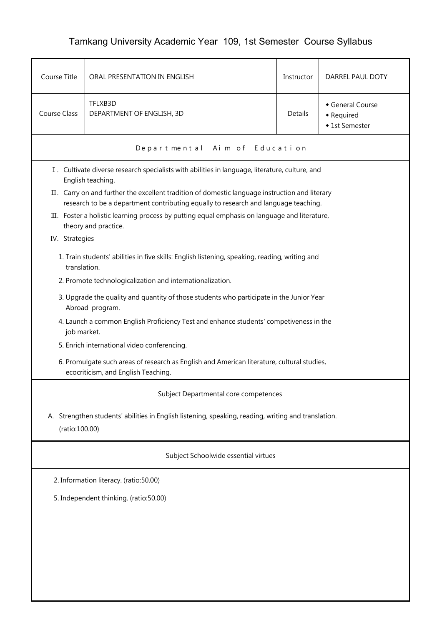## Tamkang University Academic Year 109, 1st Semester Course Syllabus

| Course Title                                                                                                                      | ORAL PRESENTATION IN ENGLISH                                                                                                                                                          | Instructor     | DARREL PAUL DOTY                               |  |  |  |  |
|-----------------------------------------------------------------------------------------------------------------------------------|---------------------------------------------------------------------------------------------------------------------------------------------------------------------------------------|----------------|------------------------------------------------|--|--|--|--|
| <b>Course Class</b>                                                                                                               | TFLXB3D<br>DEPARTMENT OF ENGLISH, 3D                                                                                                                                                  | <b>Details</b> | General Course<br>• Required<br>◆ 1st Semester |  |  |  |  |
|                                                                                                                                   | Departmental Aim of Education                                                                                                                                                         |                |                                                |  |  |  |  |
|                                                                                                                                   | I. Cultivate diverse research specialists with abilities in language, literature, culture, and<br>English teaching.                                                                   |                |                                                |  |  |  |  |
|                                                                                                                                   | II. Carry on and further the excellent tradition of domestic language instruction and literary<br>research to be a department contributing equally to research and language teaching. |                |                                                |  |  |  |  |
|                                                                                                                                   | III. Foster a holistic learning process by putting equal emphasis on language and literature,<br>theory and practice.                                                                 |                |                                                |  |  |  |  |
| IV. Strategies                                                                                                                    |                                                                                                                                                                                       |                |                                                |  |  |  |  |
|                                                                                                                                   | 1. Train students' abilities in five skills: English listening, speaking, reading, writing and<br>translation.                                                                        |                |                                                |  |  |  |  |
|                                                                                                                                   | 2. Promote technologicalization and internationalization.                                                                                                                             |                |                                                |  |  |  |  |
|                                                                                                                                   | 3. Upgrade the quality and quantity of those students who participate in the Junior Year<br>Abroad program.                                                                           |                |                                                |  |  |  |  |
|                                                                                                                                   | 4. Launch a common English Proficiency Test and enhance students' competiveness in the<br>job market.                                                                                 |                |                                                |  |  |  |  |
|                                                                                                                                   | 5. Enrich international video conferencing.                                                                                                                                           |                |                                                |  |  |  |  |
| 6. Promulgate such areas of research as English and American literature, cultural studies,<br>ecocriticism, and English Teaching. |                                                                                                                                                                                       |                |                                                |  |  |  |  |
|                                                                                                                                   | Subject Departmental core competences                                                                                                                                                 |                |                                                |  |  |  |  |
| A. Strengthen students' abilities in English listening, speaking, reading, writing and translation.<br>(ratio:100.00)             |                                                                                                                                                                                       |                |                                                |  |  |  |  |
| Subject Schoolwide essential virtues                                                                                              |                                                                                                                                                                                       |                |                                                |  |  |  |  |
| 2. Information literacy. (ratio:50.00)                                                                                            |                                                                                                                                                                                       |                |                                                |  |  |  |  |
| 5. Independent thinking. (ratio:50.00)                                                                                            |                                                                                                                                                                                       |                |                                                |  |  |  |  |
|                                                                                                                                   |                                                                                                                                                                                       |                |                                                |  |  |  |  |
|                                                                                                                                   |                                                                                                                                                                                       |                |                                                |  |  |  |  |
|                                                                                                                                   |                                                                                                                                                                                       |                |                                                |  |  |  |  |
|                                                                                                                                   |                                                                                                                                                                                       |                |                                                |  |  |  |  |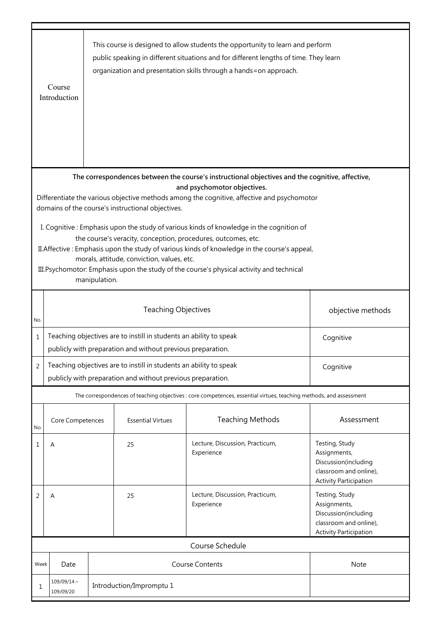|                                                                                                                                                                                                                                                                                                                                                                                                                      | This course is designed to allow students the opportunity to learn and perform<br>public speaking in different situations and for different lengths of time. They learn<br>organization and presentation skills through a hands=on approach.<br>Course<br>Introduction |                                                                                                                                                |                          |                                                                                                                                |                                                                                                                   |  |
|----------------------------------------------------------------------------------------------------------------------------------------------------------------------------------------------------------------------------------------------------------------------------------------------------------------------------------------------------------------------------------------------------------------------|------------------------------------------------------------------------------------------------------------------------------------------------------------------------------------------------------------------------------------------------------------------------|------------------------------------------------------------------------------------------------------------------------------------------------|--------------------------|--------------------------------------------------------------------------------------------------------------------------------|-------------------------------------------------------------------------------------------------------------------|--|
|                                                                                                                                                                                                                                                                                                                                                                                                                      |                                                                                                                                                                                                                                                                        |                                                                                                                                                |                          | The correspondences between the course's instructional objectives and the cognitive, affective,<br>and psychomotor objectives. |                                                                                                                   |  |
| Differentiate the various objective methods among the cognitive, affective and psychomotor<br>domains of the course's instructional objectives.                                                                                                                                                                                                                                                                      |                                                                                                                                                                                                                                                                        |                                                                                                                                                |                          |                                                                                                                                |                                                                                                                   |  |
| I. Cognitive: Emphasis upon the study of various kinds of knowledge in the cognition of<br>the course's veracity, conception, procedures, outcomes, etc.<br>II. Affective: Emphasis upon the study of various kinds of knowledge in the course's appeal,<br>morals, attitude, conviction, values, etc.<br>III. Psychomotor: Emphasis upon the study of the course's physical activity and technical<br>manipulation. |                                                                                                                                                                                                                                                                        |                                                                                                                                                |                          |                                                                                                                                |                                                                                                                   |  |
| No.                                                                                                                                                                                                                                                                                                                                                                                                                  | <b>Teaching Objectives</b><br>objective methods                                                                                                                                                                                                                        |                                                                                                                                                |                          |                                                                                                                                |                                                                                                                   |  |
| 1                                                                                                                                                                                                                                                                                                                                                                                                                    | Teaching objectives are to instill in students an ability to speak<br>publicly with preparation and without previous preparation.                                                                                                                                      |                                                                                                                                                |                          |                                                                                                                                | Cognitive                                                                                                         |  |
| $\overline{2}$                                                                                                                                                                                                                                                                                                                                                                                                       |                                                                                                                                                                                                                                                                        | Teaching objectives are to instill in students an ability to speak<br>Cognitive<br>publicly with preparation and without previous preparation. |                          |                                                                                                                                |                                                                                                                   |  |
| The correspondences of teaching objectives : core competences, essential virtues, teaching methods, and assessment                                                                                                                                                                                                                                                                                                   |                                                                                                                                                                                                                                                                        |                                                                                                                                                |                          |                                                                                                                                |                                                                                                                   |  |
| No.                                                                                                                                                                                                                                                                                                                                                                                                                  | Core Competences                                                                                                                                                                                                                                                       |                                                                                                                                                | <b>Essential Virtues</b> | <b>Teaching Methods</b>                                                                                                        | Assessment                                                                                                        |  |
| 1                                                                                                                                                                                                                                                                                                                                                                                                                    | Α                                                                                                                                                                                                                                                                      |                                                                                                                                                | 25                       | Lecture, Discussion, Practicum,<br>Experience                                                                                  | Testing, Study<br>Assignments,<br>Discussion(including<br>classroom and online),<br><b>Activity Participation</b> |  |
| 2                                                                                                                                                                                                                                                                                                                                                                                                                    | Α                                                                                                                                                                                                                                                                      |                                                                                                                                                | 25                       | Lecture, Discussion, Practicum,<br>Experience                                                                                  | Testing, Study<br>Assignments,<br>Discussion(including<br>classroom and online),<br><b>Activity Participation</b> |  |
| Course Schedule                                                                                                                                                                                                                                                                                                                                                                                                      |                                                                                                                                                                                                                                                                        |                                                                                                                                                |                          |                                                                                                                                |                                                                                                                   |  |
| Week                                                                                                                                                                                                                                                                                                                                                                                                                 | Date                                                                                                                                                                                                                                                                   |                                                                                                                                                |                          | <b>Course Contents</b>                                                                                                         | Note                                                                                                              |  |
| 1                                                                                                                                                                                                                                                                                                                                                                                                                    | $109/09/14 \sim$<br>109/09/20                                                                                                                                                                                                                                          | Introduction/Impromptu 1                                                                                                                       |                          |                                                                                                                                |                                                                                                                   |  |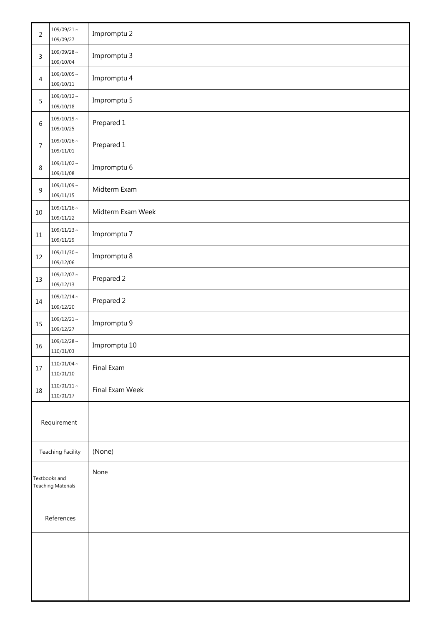| $\overline{c}$                      | $109/09/21$ ~<br>109/09/27    | Impromptu 2       |  |
|-------------------------------------|-------------------------------|-------------------|--|
| 3                                   | $109/09/28\sim$<br>109/10/04  | Impromptu 3       |  |
| 4                                   | $109/10/05\sim$<br>109/10/11  | Impromptu 4       |  |
| 5                                   | $109/10/12 \sim$<br>109/10/18 | Impromptu 5       |  |
| 6                                   | $109/10/19\sim$<br>109/10/25  | Prepared 1        |  |
| 7                                   | $109/10/26\sim$<br>109/11/01  | Prepared 1        |  |
| 8                                   | $109/11/02 \sim$<br>109/11/08 | Impromptu 6       |  |
| 9                                   | $109/11/09 \sim$<br>109/11/15 | Midterm Exam      |  |
| 10                                  | $109/11/16\sim$<br>109/11/22  | Midterm Exam Week |  |
| $11\,$                              | $109/11/23 \sim$<br>109/11/29 | Impromptu 7       |  |
| 12                                  | $109/11/30 \sim$<br>109/12/06 | Impromptu 8       |  |
| 13                                  | $109/12/07\sim$<br>109/12/13  | Prepared 2        |  |
| 14                                  | $109/12/14 \sim$<br>109/12/20 | Prepared 2        |  |
| 15                                  | $109/12/21$ ~<br>109/12/27    | Impromptu 9       |  |
| 16                                  | $109/12/28$ ~<br>110/01/03    | Impromptu 10      |  |
| $17$                                | $110/01/04 \sim$<br>110/01/10 | Final Exam        |  |
| 18                                  | $110/01/11\sim$<br>110/01/17  | Final Exam Week   |  |
| Requirement                         |                               |                   |  |
| <b>Teaching Facility</b>            |                               | (None)            |  |
| Textbooks and<br>Teaching Materials |                               | None              |  |
| References                          |                               |                   |  |
|                                     |                               |                   |  |
|                                     |                               |                   |  |
|                                     |                               |                   |  |
|                                     |                               |                   |  |